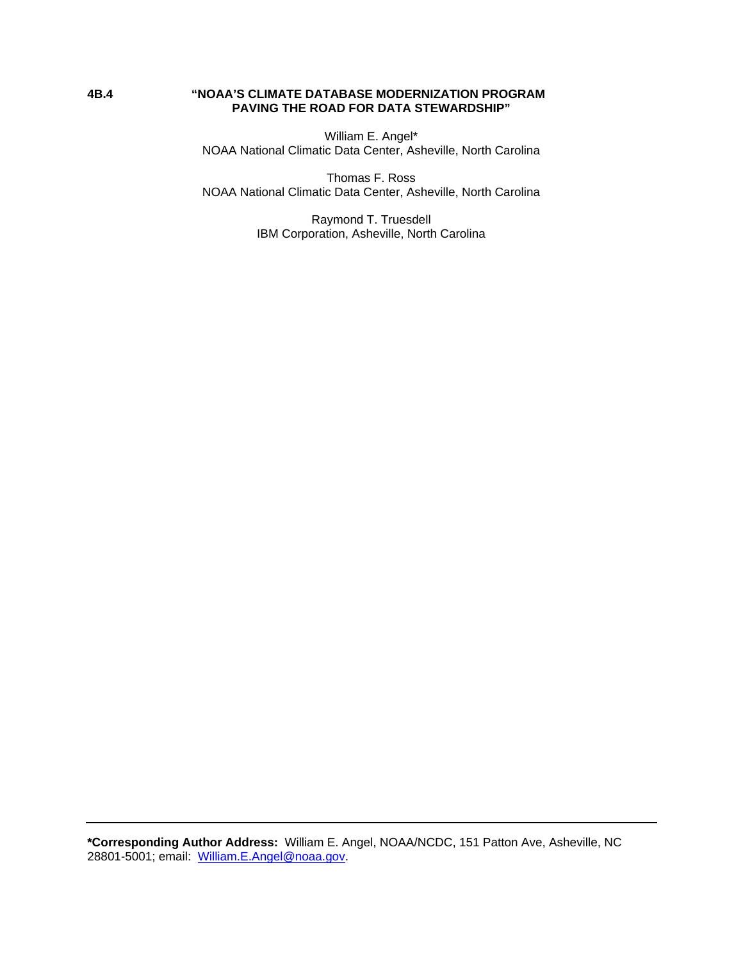### **4B.4 "NOAA'S CLIMATE DATABASE MODERNIZATION PROGRAM PAVING THE ROAD FOR DATA STEWARDSHIP"**

William E. Angel\* NOAA National Climatic Data Center, Asheville, North Carolina

Thomas F. Ross NOAA National Climatic Data Center, Asheville, North Carolina

> Raymond T. Truesdell IBM Corporation, Asheville, North Carolina

**\*Corresponding Author Address:** William E. Angel, NOAA/NCDC, 151 Patton Ave, Asheville, NC 28801-5001; email: William.E.Angel@noaa.gov.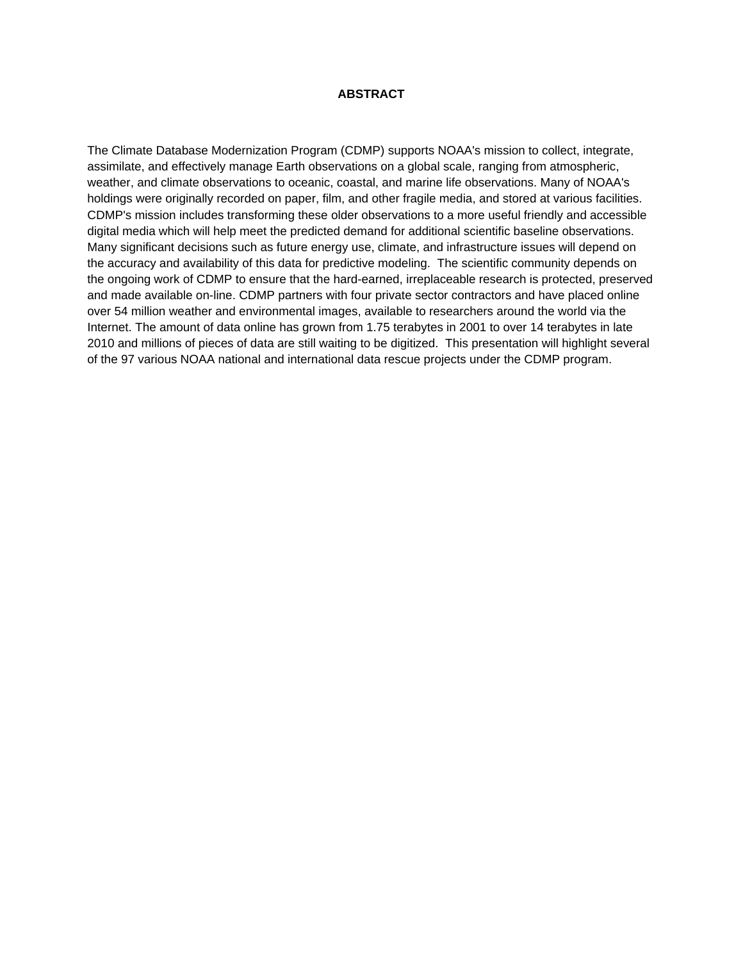### **ABSTRACT**

The Climate Database Modernization Program (CDMP) supports NOAA's mission to collect, integrate, assimilate, and effectively manage Earth observations on a global scale, ranging from atmospheric, weather, and climate observations to oceanic, coastal, and marine life observations. Many of NOAA's holdings were originally recorded on paper, film, and other fragile media, and stored at various facilities. CDMP's mission includes transforming these older observations to a more useful friendly and accessible digital media which will help meet the predicted demand for additional scientific baseline observations. Many significant decisions such as future energy use, climate, and infrastructure issues will depend on the accuracy and availability of this data for predictive modeling. The scientific community depends on the ongoing work of CDMP to ensure that the hard-earned, irreplaceable research is protected, preserved and made available on-line. CDMP partners with four private sector contractors and have placed online over 54 million weather and environmental images, available to researchers around the world via the Internet. The amount of data online has grown from 1.75 terabytes in 2001 to over 14 terabytes in late 2010 and millions of pieces of data are still waiting to be digitized. This presentation will highlight several of the 97 various NOAA national and international data rescue projects under the CDMP program.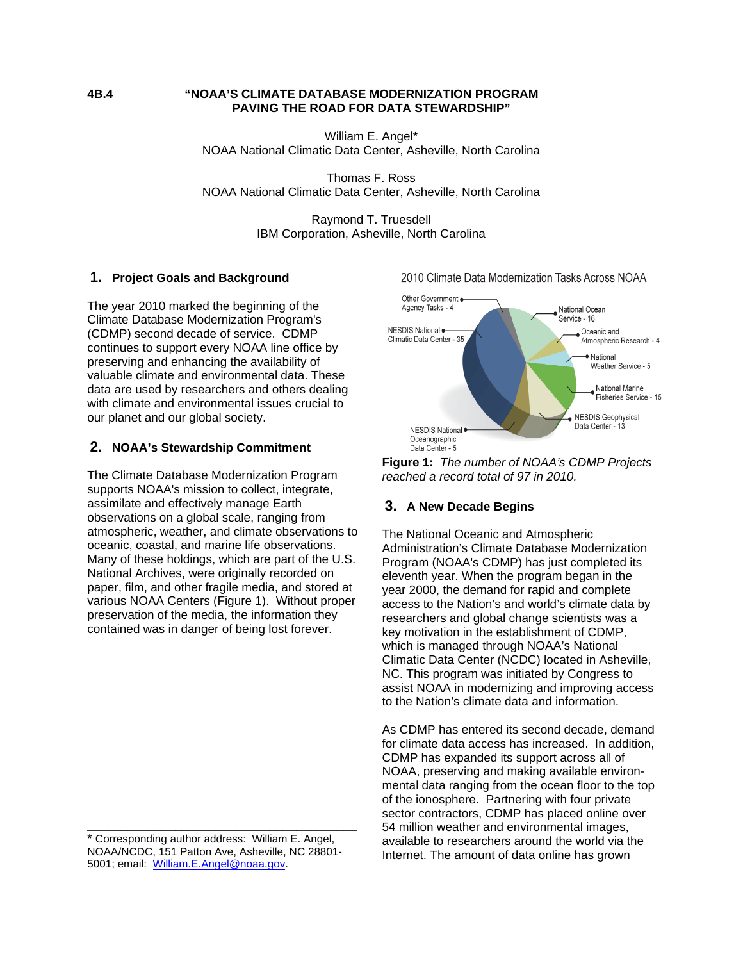### **4B.4 "NOAA'S CLIMATE DATABASE MODERNIZATION PROGRAM PAVING THE ROAD FOR DATA STEWARDSHIP"**

William E. Angel\* NOAA National Climatic Data Center, Asheville, North Carolina

Thomas F. Ross NOAA National Climatic Data Center, Asheville, North Carolina

> Raymond T. Truesdell IBM Corporation, Asheville, North Carolina

## **1. Project Goals and Background**

The year 2010 marked the beginning of the Climate Database Modernization Program's (CDMP) second decade of service. CDMP continues to support every NOAA line office by preserving and enhancing the availability of valuable climate and environmental data. These data are used by researchers and others dealing with climate and environmental issues crucial to our planet and our global society.

## **2. NOAA's Stewardship Commitment**

The Climate Database Modernization Program supports NOAA's mission to collect, integrate, assimilate and effectively manage Earth observations on a global scale, ranging from atmospheric, weather, and climate observations to oceanic, coastal, and marine life observations. Many of these holdings, which are part of the U.S. National Archives, were originally recorded on paper, film, and other fragile media, and stored at various NOAA Centers (Figure 1). Without proper preservation of the media, the information they contained was in danger of being lost forever.

\_\_\_\_\_\_\_\_\_\_\_\_\_\_\_\_\_\_\_\_\_\_\_\_\_\_\_\_\_\_\_\_\_\_\_\_\_\_\_\_



2010 Climate Data Modernization Tasks Across NOAA

**Figure 1:** *The number of NOAA's CDMP Projects reached a record total of 97 in 2010.*

# **3. A New Decade Begins**

The National Oceanic and Atmospheric Administration's Climate Database Modernization Program (NOAA's CDMP) has just completed its eleventh year. When the program began in the year 2000, the demand for rapid and complete access to the Nation's and world's climate data by researchers and global change scientists was a key motivation in the establishment of CDMP, which is managed through NOAA's National Climatic Data Center (NCDC) located in Asheville, NC. This program was initiated by Congress to assist NOAA in modernizing and improving access to the Nation's climate data and information.

As CDMP has entered its second decade, demand for climate data access has increased. In addition, CDMP has expanded its support across all of NOAA, preserving and making available environmental data ranging from the ocean floor to the top of the ionosphere. Partnering with four private sector contractors, CDMP has placed online over 54 million weather and environmental images, available to researchers around the world via the Internet. The amount of data online has grown

<sup>\*</sup> Corresponding author address: William E. Angel, NOAA/NCDC, 151 Patton Ave, Asheville, NC 28801- 5001; email: William.E.Angel@noaa.gov.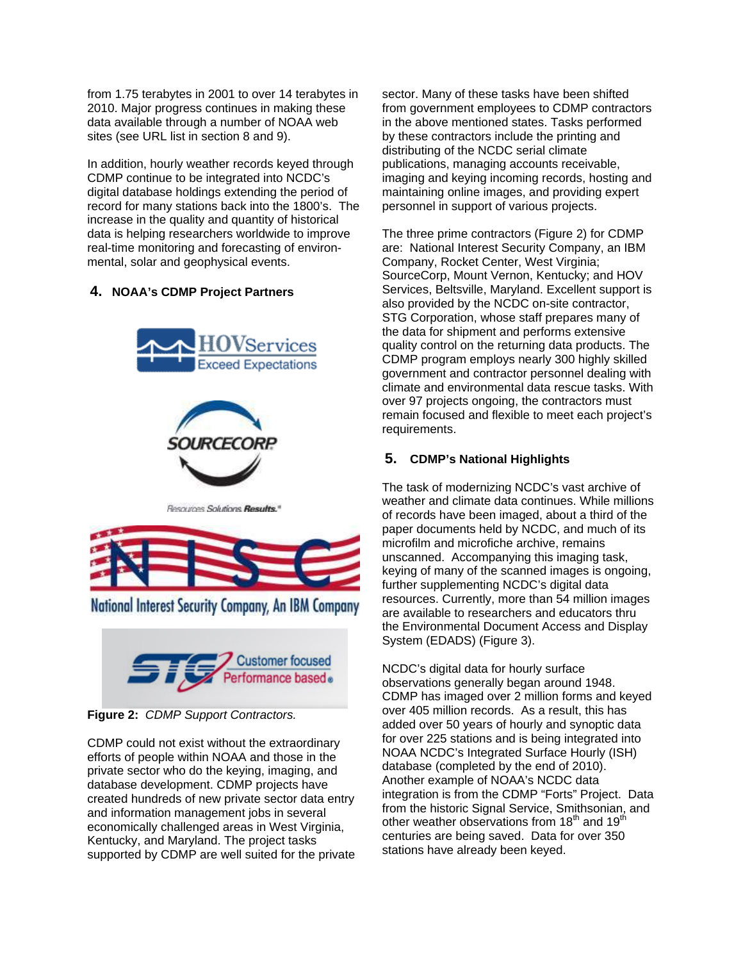from 1.75 terabytes in 2001 to over 14 terabytes in 2010. Major progress continues in making these data available through a number of NOAA web sites (see URL list in section 8 and 9).

In addition, hourly weather records keyed through CDMP continue to be integrated into NCDC's digital database holdings extending the period of record for many stations back into the 1800's. The increase in the quality and quantity of historical data is helping researchers worldwide to improve real-time monitoring and forecasting of environmental, solar and geophysical events.

## **4. NOAA's CDMP Project Partners**





Resources Solutions Results."



National Interest Security Company, An IBM Company



**Figure 2:** *CDMP Support Contractors.*

CDMP could not exist without the extraordinary efforts of people within NOAA and those in the private sector who do the keying, imaging, and database development. CDMP projects have created hundreds of new private sector data entry and information management jobs in several economically challenged areas in West Virginia, Kentucky, and Maryland. The project tasks supported by CDMP are well suited for the private sector. Many of these tasks have been shifted from government employees to CDMP contractors in the above mentioned states. Tasks performed by these contractors include the printing and distributing of the NCDC serial climate publications, managing accounts receivable, imaging and keying incoming records, hosting and maintaining online images, and providing expert personnel in support of various projects.

The three prime contractors (Figure 2) for CDMP are: National Interest Security Company, an IBM Company, Rocket Center, West Virginia; SourceCorp, Mount Vernon, Kentucky; and HOV Services, Beltsville, Maryland. Excellent support is also provided by the NCDC on-site contractor, STG Corporation, whose staff prepares many of the data for shipment and performs extensive quality control on the returning data products. The CDMP program employs nearly 300 highly skilled government and contractor personnel dealing with climate and environmental data rescue tasks. With over 97 projects ongoing, the contractors must remain focused and flexible to meet each project's requirements.

# **5. CDMP's National Highlights**

The task of modernizing NCDC's vast archive of weather and climate data continues. While millions of records have been imaged, about a third of the paper documents held by NCDC, and much of its microfilm and microfiche archive, remains unscanned. Accompanying this imaging task, keying of many of the scanned images is ongoing, further supplementing NCDC's digital data resources. Currently, more than 54 million images are available to researchers and educators thru the Environmental Document Access and Display System (EDADS) (Figure 3).

NCDC's digital data for hourly surface observations generally began around 1948. CDMP has imaged over 2 million forms and keyed over 405 million records. As a result, this has added over 50 years of hourly and synoptic data for over 225 stations and is being integrated into NOAA NCDC's Integrated Surface Hourly (ISH) database (completed by the end of 2010). Another example of NOAA's NCDC data integration is from the CDMP "Forts" Project. Data from the historic Signal Service, Smithsonian, and other weather observations from  $18<sup>th</sup>$  and  $19<sup>th</sup>$ centuries are being saved. Data for over 350 stations have already been keyed.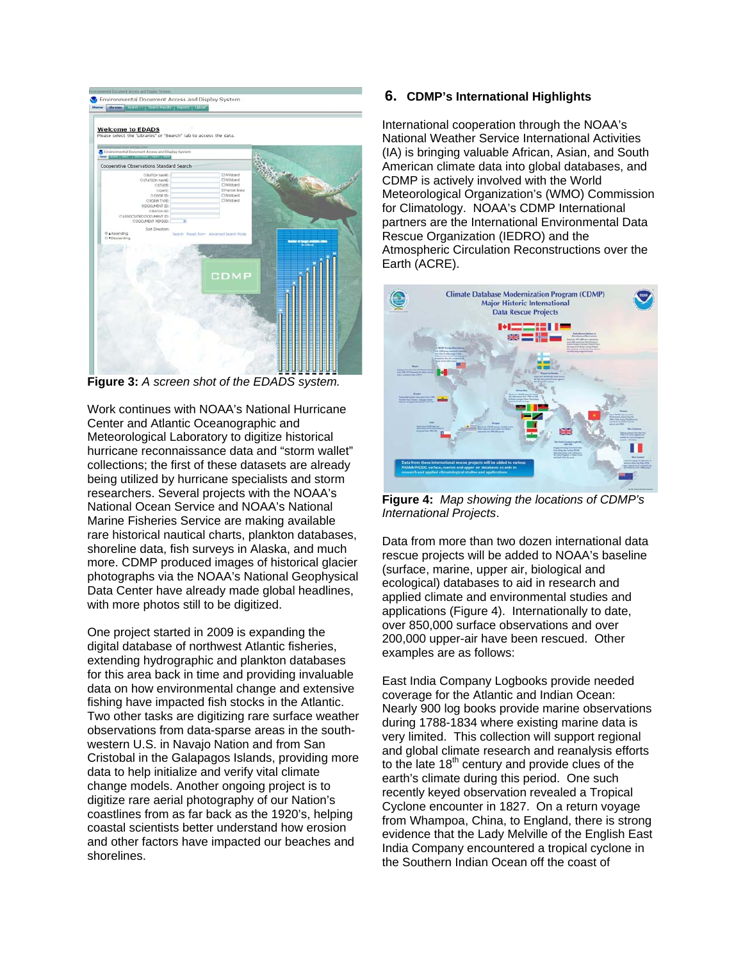| the plans present period them plans                                                                                                            | C Environmental Decument Access and Display System |                                                                                       |  |  |
|------------------------------------------------------------------------------------------------------------------------------------------------|----------------------------------------------------|---------------------------------------------------------------------------------------|--|--|
| Cooperative Observations Standard Search                                                                                                       |                                                    |                                                                                       |  |  |
| DEATCH NAME:<br>O STATION NAME:<br>OSTATE:<br>COMTE:<br>0.0000 10:<br>OROGM TYDE:<br>e pocuverat 10:<br>CRATCH 3D:<br>CASSOCIATED DOCLARAT 3D: |                                                    | ElWildcard<br><b>El Wildcard</b><br><b>CIPartial Date</b><br>ElWildcard<br>Elwirksand |  |  |
|                                                                                                                                                |                                                    | <b>CDMP</b>                                                                           |  |  |
|                                                                                                                                                |                                                    |                                                                                       |  |  |

**Figure 3:** *A screen shot of the EDADS system.* 

Work continues with NOAA's National Hurricane Center and Atlantic Oceanographic and Meteorological Laboratory to digitize historical hurricane reconnaissance data and "storm wallet" collections; the first of these datasets are already being utilized by hurricane specialists and storm researchers. Several projects with the NOAA's National Ocean Service and NOAA's National Marine Fisheries Service are making available rare historical nautical charts, plankton databases, shoreline data, fish surveys in Alaska, and much more. CDMP produced images of historical glacier photographs via the NOAA's National Geophysical Data Center have already made global headlines, with more photos still to be digitized.

One project started in 2009 is expanding the digital database of northwest Atlantic fisheries, extending hydrographic and plankton databases for this area back in time and providing invaluable data on how environmental change and extensive fishing have impacted fish stocks in the Atlantic. Two other tasks are digitizing rare surface weather observations from data-sparse areas in the southwestern U.S. in Navajo Nation and from San Cristobal in the Galapagos Islands, providing more data to help initialize and verify vital climate change models. Another ongoing project is to digitize rare aerial photography of our Nation's coastlines from as far back as the 1920's, helping coastal scientists better understand how erosion and other factors have impacted our beaches and shorelines.

### **6. CDMP's International Highlights**

International cooperation through the NOAA's National Weather Service International Activities (IA) is bringing valuable African, Asian, and South American climate data into global databases, and CDMP is actively involved with the World Meteorological Organization's (WMO) Commission for Climatology. NOAA's CDMP International partners are the International Environmental Data Rescue Organization (IEDRO) and the Atmospheric Circulation Reconstructions over the Earth (ACRE).



**Figure 4:** *Map showing the locations of CDMP's International Projects*.

Data from more than two dozen international data rescue projects will be added to NOAA's baseline (surface, marine, upper air, biological and ecological) databases to aid in research and applied climate and environmental studies and applications (Figure 4). Internationally to date, over 850,000 surface observations and over 200,000 upper-air have been rescued. Other examples are as follows:

East India Company Logbooks provide needed coverage for the Atlantic and Indian Ocean: Nearly 900 log books provide marine observations during 1788-1834 where existing marine data is very limited. This collection will support regional and global climate research and reanalysis efforts to the late  $18<sup>th</sup>$  century and provide clues of the earth's climate during this period. One such recently keyed observation revealed a Tropical Cyclone encounter in 1827. On a return voyage from Whampoa, China, to England, there is strong evidence that the Lady Melville of the English East India Company encountered a tropical cyclone in the Southern Indian Ocean off the coast of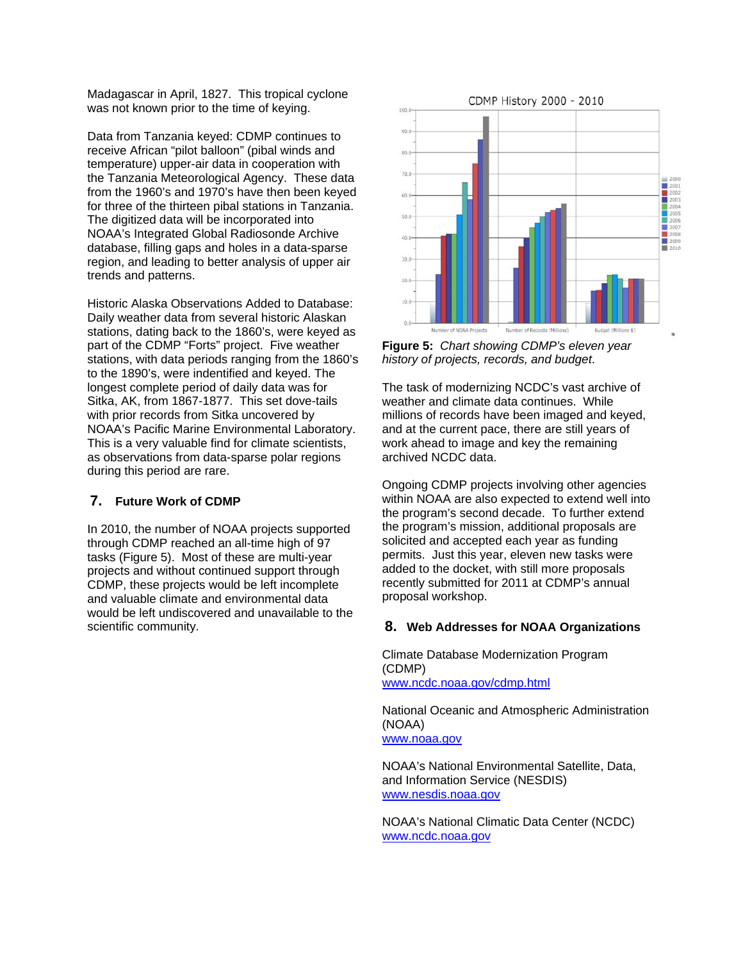Madagascar in April, 1827. This tropical cyclone was not known prior to the time of keying.

Data from Tanzania keyed: CDMP continues to receive African "pilot balloon" (pibal winds and temperature) upper-air data in cooperation with the Tanzania Meteorological Agency. These data from the 1960's and 1970's have then been keyed for three of the thirteen pibal stations in Tanzania. The digitized data will be incorporated into NOAA's Integrated Global Radiosonde Archive database, filling gaps and holes in a data-sparse region, and leading to better analysis of upper air trends and patterns.

Historic Alaska Observations Added to Database: Daily weather data from several historic Alaskan stations, dating back to the 1860's, were keyed as part of the CDMP "Forts" project. Five weather stations, with data periods ranging from the 1860's to the 1890's, were indentified and keyed. The longest complete period of daily data was for Sitka, AK, from 1867-1877. This set dove-tails with prior records from Sitka uncovered by NOAA's Pacific Marine Environmental Laboratory. This is a very valuable find for climate scientists, as observations from data-sparse polar regions during this period are rare.

## **7. Future Work of CDMP**

In 2010, the number of NOAA projects supported through CDMP reached an all-time high of 97 tasks (Figure 5). Most of these are multi-year projects and without continued support through CDMP, these projects would be left incomplete and valuable climate and environmental data would be left undiscovered and unavailable to the scientific community.



**Figure 5:** *Chart showing CDMP's eleven year history of projects, records, and budget*.

The task of modernizing NCDC's vast archive of weather and climate data continues. While millions of records have been imaged and keyed, and at the current pace, there are still years of work ahead to image and key the remaining archived NCDC data.

Ongoing CDMP projects involving other agencies within NOAA are also expected to extend well into the program's second decade. To further extend the program's mission, additional proposals are solicited and accepted each year as funding permits. Just this year, eleven new tasks were added to the docket, with still more proposals recently submitted for 2011 at CDMP's annual proposal workshop.

#### **8. Web Addresses for NOAA Organizations**

Climate Database Modernization Program (CDMP) www.ncdc.noaa.gov/cdmp.html

National Oceanic and Atmospheric Administration (NOAA) www.noaa.gov

NOAA's National Environmental Satellite, Data, and Information Service (NESDIS) www.nesdis.noaa.gov

NOAA's National Climatic Data Center (NCDC) www.ncdc.noaa.gov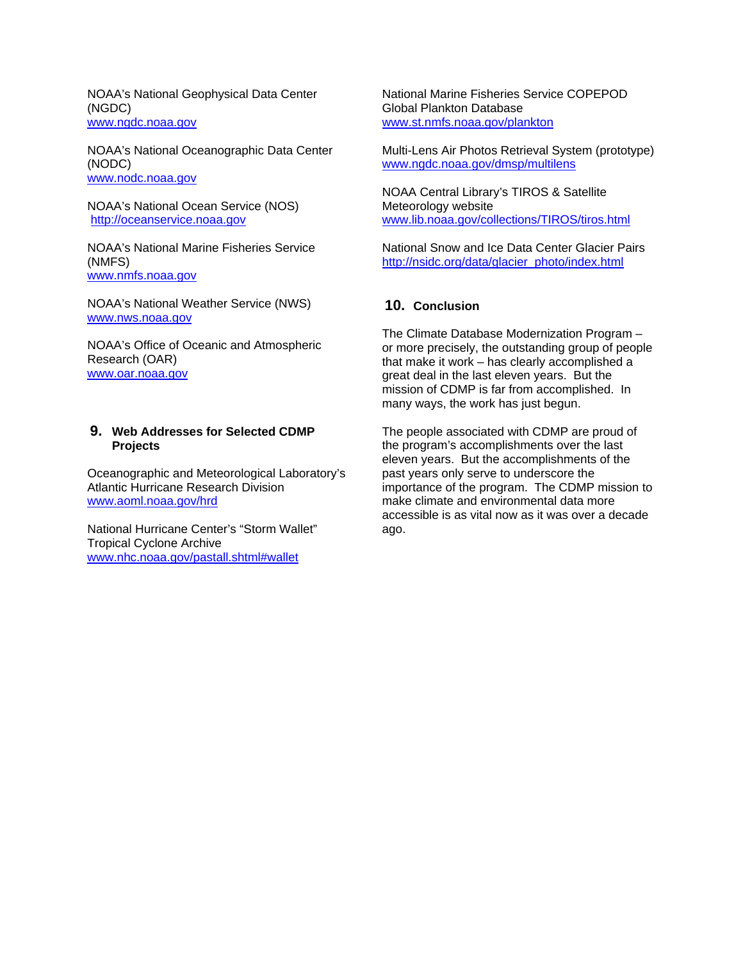NOAA's National Geophysical Data Center (NGDC) www.ngdc.noaa.gov

NOAA's National Oceanographic Data Center (NODC) www.nodc.noaa.gov

NOAA's National Ocean Service (NOS) http://oceanservice.noaa.gov

NOAA's National Marine Fisheries Service (NMFS) www.nmfs.noaa.gov

NOAA's National Weather Service (NWS) www.nws.noaa.gov

NOAA's Office of Oceanic and Atmospheric Research (OAR) www.oar.noaa.gov

### **9. Web Addresses for Selected CDMP Projects**

Oceanographic and Meteorological Laboratory's Atlantic Hurricane Research Division www.aoml.noaa.gov/hrd

National Hurricane Center's "Storm Wallet" Tropical Cyclone Archive www.nhc.noaa.gov/pastall.shtml#wallet

National Marine Fisheries Service COPEPOD Global Plankton Database www.st.nmfs.noaa.gov/plankton

Multi-Lens Air Photos Retrieval System (prototype) www.ngdc.noaa.gov/dmsp/multilens

NOAA Central Library's TIROS & Satellite Meteorology website www.lib.noaa.gov/collections/TIROS/tiros.html

National Snow and Ice Data Center Glacier Pairs http://nsidc.org/data/glacier\_photo/index.html

## **10. Conclusion**

The Climate Database Modernization Program – or more precisely, the outstanding group of people that make it work – has clearly accomplished a great deal in the last eleven years. But the mission of CDMP is far from accomplished. In many ways, the work has just begun.

The people associated with CDMP are proud of the program's accomplishments over the last eleven years. But the accomplishments of the past years only serve to underscore the importance of the program. The CDMP mission to make climate and environmental data more accessible is as vital now as it was over a decade ago.